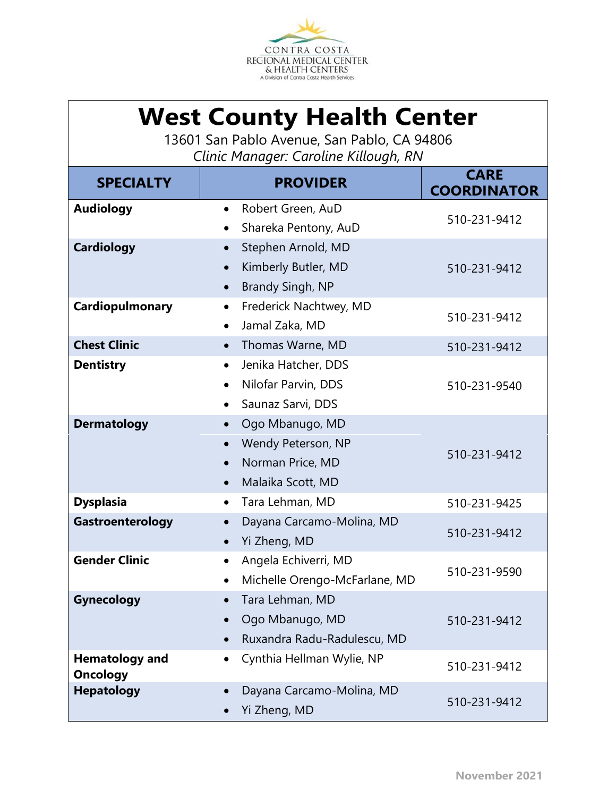

## **West County Health Center**

13601 San Pablo Avenue, San Pablo, CA 94806 *Clinic Manager: Caroline Killough, RN*

| <b>SPECIALTY</b>                         | <b>PROVIDER</b>                     | <b>CARE</b><br><b>COORDINATOR</b> |
|------------------------------------------|-------------------------------------|-----------------------------------|
| <b>Audiology</b>                         | Robert Green, AuD<br>$\bullet$      |                                   |
|                                          | Shareka Pentony, AuD                | 510-231-9412                      |
| <b>Cardiology</b>                        | Stephen Arnold, MD                  |                                   |
|                                          | Kimberly Butler, MD                 | 510-231-9412                      |
|                                          | <b>Brandy Singh, NP</b>             |                                   |
| Cardiopulmonary                          | Frederick Nachtwey, MD<br>$\bullet$ |                                   |
|                                          | Jamal Zaka, MD                      | 510-231-9412                      |
| <b>Chest Clinic</b>                      | Thomas Warne, MD<br>$\bullet$       | 510-231-9412                      |
| <b>Dentistry</b>                         | Jenika Hatcher, DDS<br>$\bullet$    |                                   |
|                                          | Nilofar Parvin, DDS                 | 510-231-9540                      |
|                                          | Saunaz Sarvi, DDS                   |                                   |
| <b>Dermatology</b>                       | Ogo Mbanugo, MD                     |                                   |
|                                          | Wendy Peterson, NP                  | 510-231-9412                      |
|                                          | Norman Price, MD                    |                                   |
|                                          | Malaika Scott, MD<br>$\bullet$      |                                   |
| <b>Dysplasia</b>                         | Tara Lehman, MD<br>$\bullet$        | 510-231-9425                      |
| Gastroenterology                         | Dayana Carcamo-Molina, MD           | 510-231-9412                      |
|                                          | Yi Zheng, MD<br>$\bullet$           |                                   |
| <b>Gender Clinic</b>                     | Angela Echiverri, MD<br>$\bullet$   | 510-231-9590                      |
|                                          | Michelle Orengo-McFarlane, MD       |                                   |
| Gynecology                               | Tara Lehman, MD                     |                                   |
|                                          | Ogo Mbanugo, MD                     | 510-231-9412                      |
|                                          | Ruxandra Radu-Radulescu, MD         |                                   |
| <b>Hematology and</b><br><b>Oncology</b> | Cynthia Hellman Wylie, NP           | 510-231-9412                      |
| <b>Hepatology</b>                        | Dayana Carcamo-Molina, MD           | 510-231-9412                      |
|                                          | Yi Zheng, MD                        |                                   |